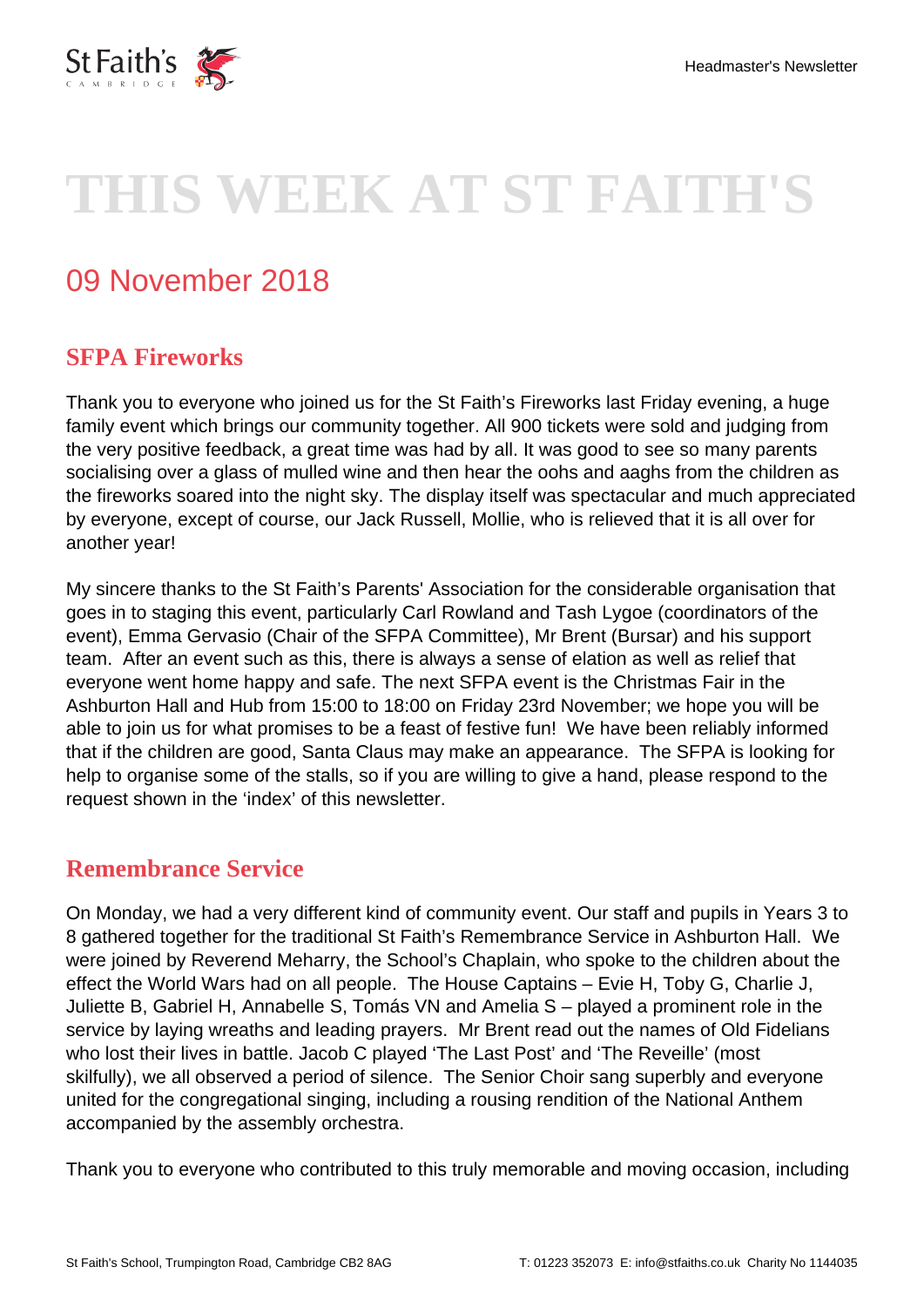

# **THIS WEEK AT ST FAITH'S**

# 09 November 2018

### **SFPA Fireworks**

Thank you to everyone who joined us for the St Faith's Fireworks last Friday evening, a huge family event which brings our community together. All 900 tickets were sold and judging from the very positive feedback, a great time was had by all. It was good to see so many parents socialising over a glass of mulled wine and then hear the oohs and aaghs from the children as the fireworks soared into the night sky. The display itself was spectacular and much appreciated by everyone, except of course, our Jack Russell, Mollie, who is relieved that it is all over for another year!

My sincere thanks to the St Faith's Parents' Association for the considerable organisation that goes in to staging this event, particularly Carl Rowland and Tash Lygoe (coordinators of the event), Emma Gervasio (Chair of the SFPA Committee), Mr Brent (Bursar) and his support team. After an event such as this, there is always a sense of elation as well as relief that everyone went home happy and safe. The next SFPA event is the Christmas Fair in the Ashburton Hall and Hub from 15:00 to 18:00 on Friday 23rd November; we hope you will be able to join us for what promises to be a feast of festive fun! We have been reliably informed that if the children are good, Santa Claus may make an appearance. The SFPA is looking for help to organise some of the stalls, so if you are willing to give a hand, please respond to the request shown in the 'index' of this newsletter.

#### **Remembrance Service**

On Monday, we had a very different kind of community event. Our staff and pupils in Years 3 to 8 gathered together for the traditional St Faith's Remembrance Service in Ashburton Hall. We were joined by Reverend Meharry, the School's Chaplain, who spoke to the children about the effect the World Wars had on all people. The House Captains – Evie H, Toby G, Charlie J, Juliette B, Gabriel H, Annabelle S, Tomás VN and Amelia S – played a prominent role in the service by laying wreaths and leading prayers. Mr Brent read out the names of Old Fidelians who lost their lives in battle. Jacob C played 'The Last Post' and 'The Reveille' (most skilfully), we all observed a period of silence. The Senior Choir sang superbly and everyone united for the congregational singing, including a rousing rendition of the National Anthem accompanied by the assembly orchestra.

Thank you to everyone who contributed to this truly memorable and moving occasion, including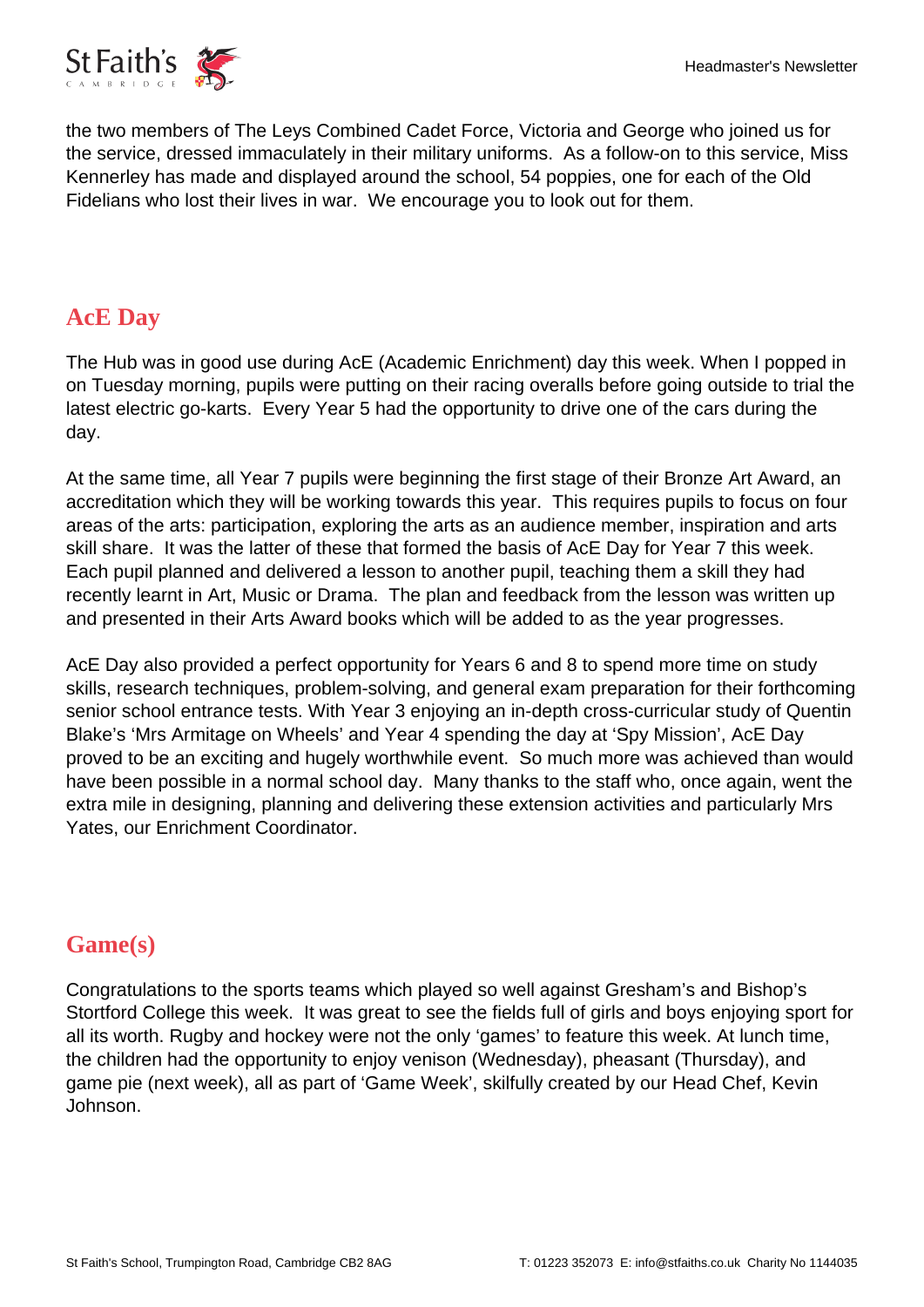

the two members of The Leys Combined Cadet Force, Victoria and George who joined us for the service, dressed immaculately in their military uniforms. As a follow-on to this service, Miss Kennerley has made and displayed around the school, 54 poppies, one for each of the Old Fidelians who lost their lives in war. We encourage you to look out for them.

## **AcE Day**

The Hub was in good use during AcE (Academic Enrichment) day this week. When I popped in on Tuesday morning, pupils were putting on their racing overalls before going outside to trial the latest electric go-karts. Every Year 5 had the opportunity to drive one of the cars during the day.

At the same time, all Year 7 pupils were beginning the first stage of their Bronze Art Award, an accreditation which they will be working towards this year. This requires pupils to focus on four areas of the arts: participation, exploring the arts as an audience member, inspiration and arts skill share. It was the latter of these that formed the basis of AcE Day for Year 7 this week. Each pupil planned and delivered a lesson to another pupil, teaching them a skill they had recently learnt in Art, Music or Drama. The plan and feedback from the lesson was written up and presented in their Arts Award books which will be added to as the year progresses.

AcE Day also provided a perfect opportunity for Years 6 and 8 to spend more time on study skills, research techniques, problem-solving, and general exam preparation for their forthcoming senior school entrance tests. With Year 3 enjoying an in-depth cross-curricular study of Quentin Blake's 'Mrs Armitage on Wheels' and Year 4 spending the day at 'Spy Mission', AcE Day proved to be an exciting and hugely worthwhile event. So much more was achieved than would have been possible in a normal school day. Many thanks to the staff who, once again, went the extra mile in designing, planning and delivering these extension activities and particularly Mrs Yates, our Enrichment Coordinator.

# **Game(s)**

Congratulations to the sports teams which played so well against Gresham's and Bishop's Stortford College this week. It was great to see the fields full of girls and boys enjoying sport for all its worth. Rugby and hockey were not the only 'games' to feature this week. At lunch time, the children had the opportunity to enjoy venison (Wednesday), pheasant (Thursday), and game pie (next week), all as part of 'Game Week', skilfully created by our Head Chef, Kevin Johnson.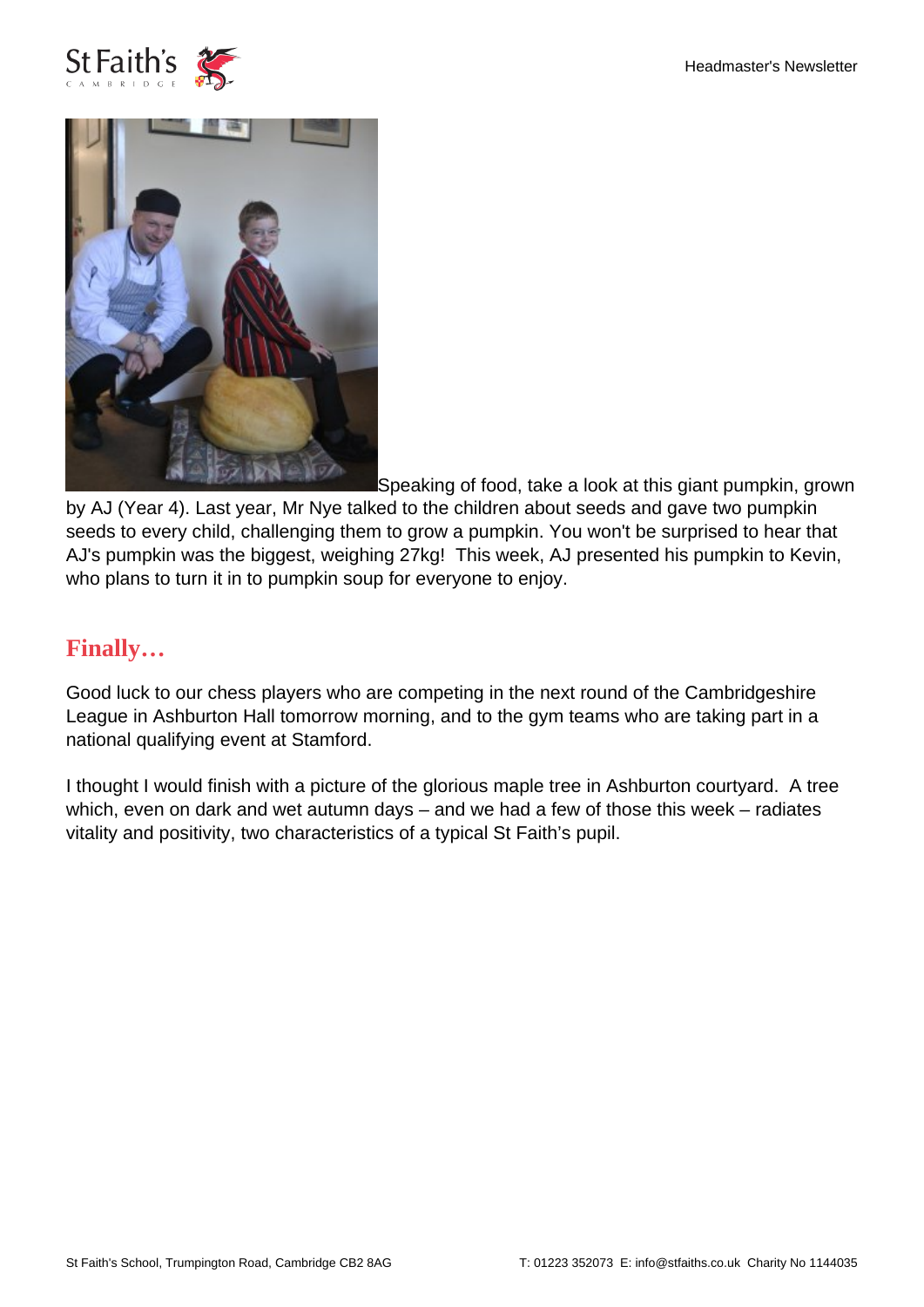



Speaking of food, take a look at this giant pumpkin, grown

by AJ (Year 4). Last year, Mr Nye talked to the children about seeds and gave two pumpkin seeds to every child, challenging them to grow a pumpkin. You won't be surprised to hear that AJ's pumpkin was the biggest, weighing 27kg! This week, AJ presented his pumpkin to Kevin, who plans to turn it in to pumpkin soup for everyone to enjoy.

#### **Finally…**

Good luck to our chess players who are competing in the next round of the Cambridgeshire League in Ashburton Hall tomorrow morning, and to the gym teams who are taking part in a national qualifying event at Stamford.

I thought I would finish with a picture of the glorious maple tree in Ashburton courtyard. A tree which, even on dark and wet autumn days – and we had a few of those this week – radiates vitality and positivity, two characteristics of a typical St Faith's pupil.